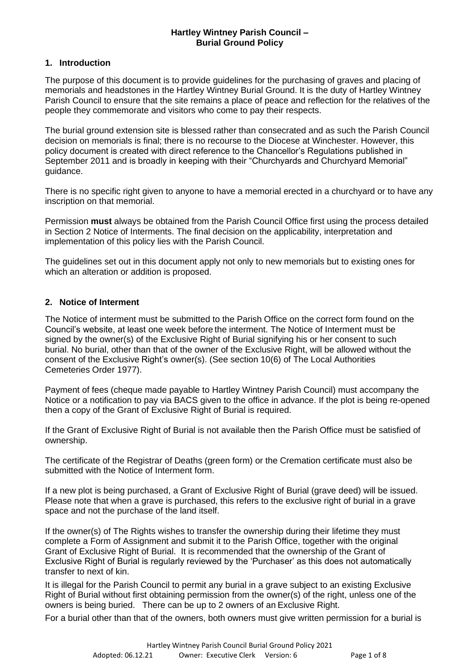### **Hartley Wintney Parish Council – Burial Ground Policy**

### **1. Introduction**

The purpose of this document is to provide guidelines for the purchasing of graves and placing of memorials and headstones in the Hartley Wintney Burial Ground. It is the duty of Hartley Wintney Parish Council to ensure that the site remains a place of peace and reflection for the relatives of the people they commemorate and visitors who come to pay their respects.

The burial ground extension site is blessed rather than consecrated and as such the Parish Council decision on memorials is final; there is no recourse to the Diocese at Winchester. However, this policy document is created with direct reference to the Chancellor's Regulations published in September 2011 and is broadly in keeping with their "Churchyards and Churchyard Memorial" guidance.

There is no specific right given to anyone to have a memorial erected in a churchyard or to have any inscription on that memorial.

Permission **must** always be obtained from the Parish Council Office first using the process detailed in Section 2 Notice of Interments. The final decision on the applicability, interpretation and implementation of this policy lies with the Parish Council.

The guidelines set out in this document apply not only to new memorials but to existing ones for which an alteration or addition is proposed.

## **2. Notice of Interment**

The Notice of interment must be submitted to the Parish Office on the correct form found on the Council's website, at least one week before the interment. The Notice of Interment must be signed by the owner(s) of the Exclusive Right of Burial signifying his or her consent to such burial. No burial, other than that of the owner of the Exclusive Right, will be allowed without the consent of the Exclusive Right's owner(s). (See section 10(6) of The Local Authorities Cemeteries Order 1977).

Payment of fees (cheque made payable to Hartley Wintney Parish Council) must accompany the Notice or a notification to pay via BACS given to the office in advance. If the plot is being re-opened then a copy of the Grant of Exclusive Right of Burial is required.

If the Grant of Exclusive Right of Burial is not available then the Parish Office must be satisfied of ownership.

The certificate of the Registrar of Deaths (green form) or the Cremation certificate must also be submitted with the Notice of Interment form.

If a new plot is being purchased, a Grant of Exclusive Right of Burial (grave deed) will be issued. Please note that when a grave is purchased, this refers to the exclusive right of burial in a grave space and not the purchase of the land itself.

If the owner(s) of The Rights wishes to transfer the ownership during their lifetime they must complete a Form of Assignment and submit it to the Parish Office, together with the original Grant of Exclusive Right of Burial. It is recommended that the ownership of the Grant of Exclusive Right of Burial is regularly reviewed by the 'Purchaser' as this does not automatically transfer to next of kin.

It is illegal for the Parish Council to permit any burial in a grave subject to an existing Exclusive Right of Burial without first obtaining permission from the owner(s) of the right, unless one of the owners is being buried. There can be up to 2 owners of an Exclusive Right.

For a burial other than that of the owners, both owners must give written permission for a burial is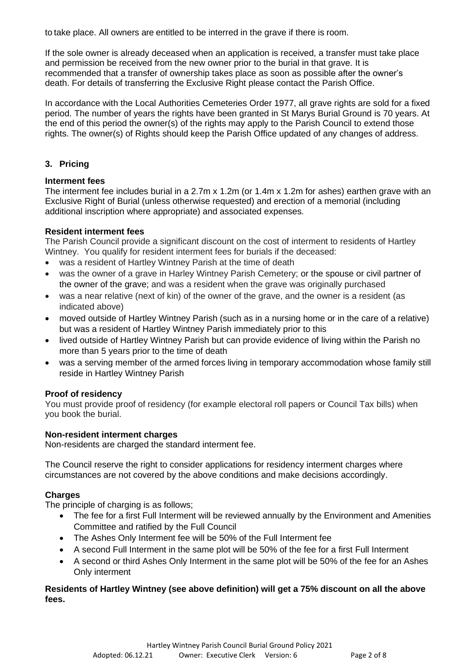to take place. All owners are entitled to be interred in the grave if there is room.

If the sole owner is already deceased when an application is received, a transfer must take place and permission be received from the new owner prior to the burial in that grave. It is recommended that a transfer of ownership takes place as soon as possible after the owner's death. For details of transferring the Exclusive Right please contact the Parish Office.

In accordance with the Local Authorities Cemeteries Order 1977, all grave rights are sold for a fixed period. The number of years the rights have been granted in St Marys Burial Ground is 70 years. At the end of this period the owner(s) of the rights may apply to the Parish Council to extend those rights. The owner(s) of Rights should keep the Parish Office updated of any changes of address.

# **3. Pricing**

## **Interment fees**

The interment fee includes burial in a 2.7m x 1.2m (or 1.4m x 1.2m for ashes) earthen grave with an Exclusive Right of Burial (unless otherwise requested) and erection of a memorial (including additional inscription where appropriate) and associated expenses.

## **Resident interment fees**

The Parish Council provide a significant discount on the cost of interment to residents of Hartley Wintney. You qualify for resident interment fees for burials if the deceased:

- was a resident of Hartley Wintney Parish at the time of death
- was the owner of a grave in Harley Wintney Parish Cemetery; or the spouse or civil partner of the owner of the grave; and was a resident when the grave was originally purchased
- was a near relative (next of kin) of the owner of the grave, and the owner is a resident (as indicated above)
- moved outside of Hartley Wintney Parish (such as in a nursing home or in the care of a relative) but was a resident of Hartley Wintney Parish immediately prior to this
- lived outside of Hartley Wintney Parish but can provide evidence of living within the Parish no more than 5 years prior to the time of death
- was a serving member of the armed forces living in temporary accommodation whose family still reside in Hartley Wintney Parish

## **Proof of residency**

You must provide proof of residency (for example electoral roll papers or Council Tax bills) when you book the burial.

### **Non-resident interment charges**

Non-residents are charged the standard interment fee.

The Council reserve the right to consider applications for residency interment charges where circumstances are not covered by the above conditions and make decisions accordingly.

## **Charges**

The principle of charging is as follows;

- The fee for a first Full Interment will be reviewed annually by the Environment and Amenities Committee and ratified by the Full Council
- The Ashes Only Interment fee will be 50% of the Full Interment fee
- A second Full Interment in the same plot will be 50% of the fee for a first Full Interment
- A second or third Ashes Only Interment in the same plot will be 50% of the fee for an Ashes Only interment

## **Residents of Hartley Wintney (see above definition) will get a 75% discount on all the above fees.**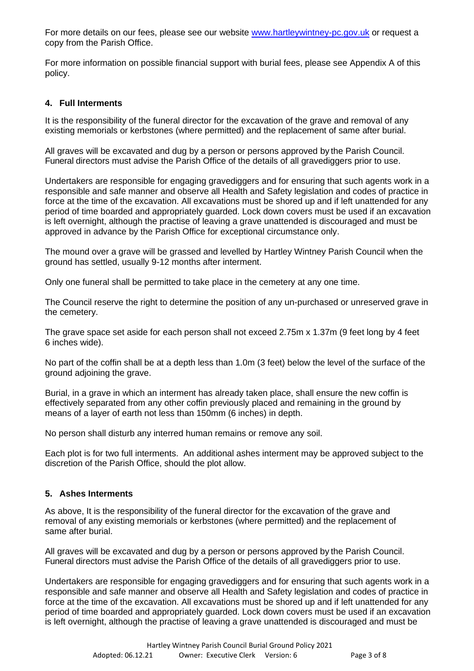For more details on our fees, please see our website [www.hartleywintney-pc.gov.uk](http://www.hartleywintney-pc.gov.uk/) or request a copy from the Parish Office.

For more information on possible financial support with burial fees, please see Appendix A of this policy.

## **4. Full Interments**

It is the responsibility of the funeral director for the excavation of the grave and removal of any existing memorials or kerbstones (where permitted) and the replacement of same after burial.

All graves will be excavated and dug by a person or persons approved by the Parish Council. Funeral directors must advise the Parish Office of the details of all gravediggers prior to use.

Undertakers are responsible for engaging gravediggers and for ensuring that such agents work in a responsible and safe manner and observe all Health and Safety legislation and codes of practice in force at the time of the excavation. All excavations must be shored up and if left unattended for any period of time boarded and appropriately guarded. Lock down covers must be used if an excavation is left overnight, although the practise of leaving a grave unattended is discouraged and must be approved in advance by the Parish Office for exceptional circumstance only.

The mound over a grave will be grassed and levelled by Hartley Wintney Parish Council when the ground has settled, usually 9-12 months after interment.

Only one funeral shall be permitted to take place in the cemetery at any one time.

The Council reserve the right to determine the position of any un-purchased or unreserved grave in the cemetery.

The grave space set aside for each person shall not exceed 2.75m x 1.37m (9 feet long by 4 feet 6 inches wide).

No part of the coffin shall be at a depth less than 1.0m (3 feet) below the level of the surface of the ground adjoining the grave.

Burial, in a grave in which an interment has already taken place, shall ensure the new coffin is effectively separated from any other coffin previously placed and remaining in the ground by means of a layer of earth not less than 150mm (6 inches) in depth.

No person shall disturb any interred human remains or remove any soil.

Each plot is for two full interments. An additional ashes interment may be approved subject to the discretion of the Parish Office, should the plot allow.

### **5. Ashes Interments**

As above, It is the responsibility of the funeral director for the excavation of the grave and removal of any existing memorials or kerbstones (where permitted) and the replacement of same after burial.

All graves will be excavated and dug by a person or persons approved by the Parish Council. Funeral directors must advise the Parish Office of the details of all gravediggers prior to use.

Undertakers are responsible for engaging gravediggers and for ensuring that such agents work in a responsible and safe manner and observe all Health and Safety legislation and codes of practice in force at the time of the excavation. All excavations must be shored up and if left unattended for any period of time boarded and appropriately guarded. Lock down covers must be used if an excavation is left overnight, although the practise of leaving a grave unattended is discouraged and must be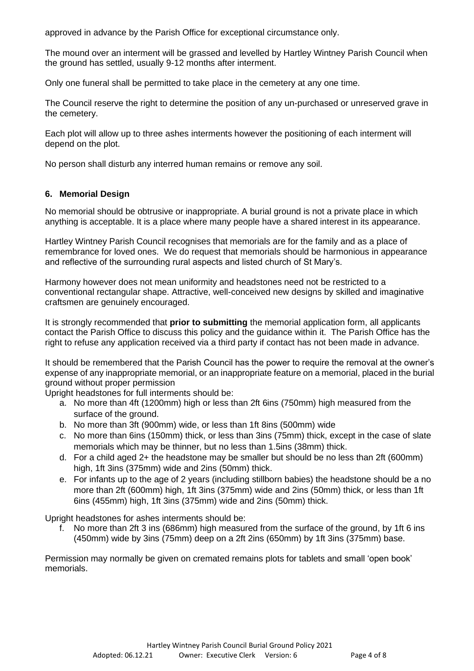approved in advance by the Parish Office for exceptional circumstance only.

The mound over an interment will be grassed and levelled by Hartley Wintney Parish Council when the ground has settled, usually 9-12 months after interment.

Only one funeral shall be permitted to take place in the cemetery at any one time.

The Council reserve the right to determine the position of any un-purchased or unreserved grave in the cemetery.

Each plot will allow up to three ashes interments however the positioning of each interment will depend on the plot.

No person shall disturb any interred human remains or remove any soil.

### **6. Memorial Design**

No memorial should be obtrusive or inappropriate. A burial ground is not a private place in which anything is acceptable. It is a place where many people have a shared interest in its appearance.

Hartley Wintney Parish Council recognises that memorials are for the family and as a place of remembrance for loved ones. We do request that memorials should be harmonious in appearance and reflective of the surrounding rural aspects and listed church of St Mary's.

Harmony however does not mean uniformity and headstones need not be restricted to a conventional rectangular shape. Attractive, well-conceived new designs by skilled and imaginative craftsmen are genuinely encouraged.

It is strongly recommended that **prior to submitting** the memorial application form, all applicants contact the Parish Office to discuss this policy and the guidance within it. The Parish Office has the right to refuse any application received via a third party if contact has not been made in advance.

It should be remembered that the Parish Council has the power to require the removal at the owner's expense of any inappropriate memorial, or an inappropriate feature on a memorial, placed in the burial ground without proper permission

Upright headstones for full interments should be:

- a. No more than 4ft (1200mm) high or less than 2ft 6ins (750mm) high measured from the surface of the ground.
- b. No more than 3ft (900mm) wide, or less than 1ft 8ins (500mm) wide
- c. No more than 6ins (150mm) thick, or less than 3ins (75mm) thick, except in the case of slate memorials which may be thinner, but no less than 1.5ins (38mm) thick.
- d. For a child aged 2+ the headstone may be smaller but should be no less than 2ft (600mm) high, 1ft 3ins (375mm) wide and 2ins (50mm) thick.
- e. For infants up to the age of 2 years (including stillborn babies) the headstone should be a no more than 2ft (600mm) high, 1ft 3ins (375mm) wide and 2ins (50mm) thick, or less than 1ft 6ins (455mm) high, 1ft 3ins (375mm) wide and 2ins (50mm) thick.

Upright headstones for ashes interments should be:

f. No more than 2ft 3 ins (686mm) high measured from the surface of the ground, by 1ft 6 ins (450mm) wide by 3ins (75mm) deep on a 2ft 2ins (650mm) by 1ft 3ins (375mm) base.

Permission may normally be given on cremated remains plots for tablets and small 'open book' memorials.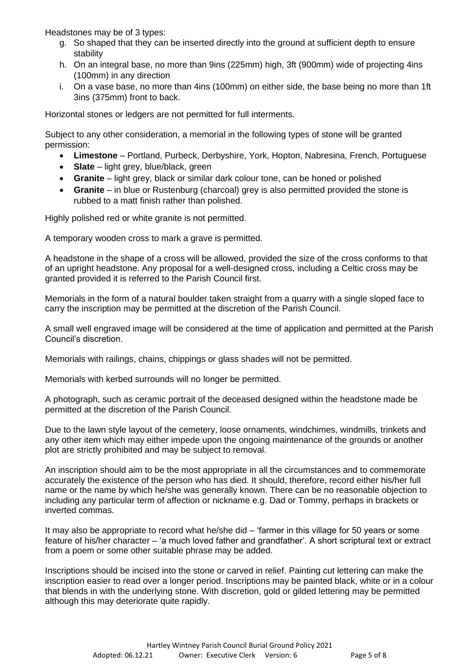Headstones may be of 3 types:

- g. So shaped that they can be inserted directly into the ground at sufficient depth to ensure stability
- h. On an integral base, no more than 9ins (225mm) high, 3ft (900mm) wide of projecting 4ins (100mm) in any direction
- i. On a vase base, no more than 4ins (100mm) on either side, the base being no more than 1ft 3ins (375mm) front to back.

Horizontal stones or ledgers are not permitted for full interments.

Subject to any other consideration, a memorial in the following types of stone will be granted permission:

- **Limestone** Portland, Purbeck, Derbyshire, York, Hopton, Nabresina, French, Portuguese
- **Slate** light grey, blue/black, green
- **Granite** light grey, black or similar dark colour tone, can be honed or polished
- **Granite** in blue or Rustenburg (charcoal) grey is also permitted provided the stone is rubbed to a matt finish rather than polished.

Highly polished red or white granite is not permitted.

A temporary wooden cross to mark a grave is permitted.

A headstone in the shape of a cross will be allowed, provided the size of the cross conforms to that of an upright headstone. Any proposal for a well-designed cross, including a Celtic cross may be granted provided it is referred to the Parish Council first.

Memorials in the form of a natural boulder taken straight from a quarry with a single sloped face to carry the inscription may be permitted at the discretion of the Parish Council.

A small well engraved image will be considered at the time of application and permitted at the Parish Council's discretion.

Memorials with railings, chains, chippings or glass shades will not be permitted.

Memorials with kerbed surrounds will no longer be permitted.

A photograph, such as ceramic portrait of the deceased designed within the headstone made be permitted at the discretion of the Parish Council.

Due to the lawn style layout of the cemetery, loose ornaments, windchimes, windmills, trinkets and any other item which may either impede upon the ongoing maintenance of the grounds or another plot are strictly prohibited and may be subject to removal.

An inscription should aim to be the most appropriate in all the circumstances and to commemorate accurately the existence of the person who has died. It should, therefore, record either his/her full name or the name by which he/she was generally known. There can be no reasonable objection to including any particular term of affection or nickname e.g. Dad or Tommy, perhaps in brackets or inverted commas.

It may also be appropriate to record what he/she did – 'farmer in this village for 50 years or some feature of his/her character – 'a much loved father and grandfather'. A short scriptural text or extract from a poem or some other suitable phrase may be added.

Inscriptions should be incised into the stone or carved in relief. Painting cut lettering can make the inscription easier to read over a longer period. Inscriptions may be painted black, white or in a colour that blends in with the underlying stone. With discretion, gold or gilded lettering may be permitted although this may deteriorate quite rapidly.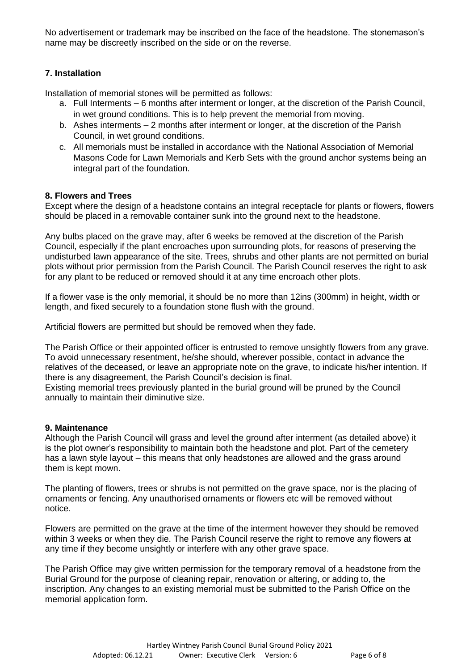No advertisement or trademark may be inscribed on the face of the headstone. The stonemason's name may be discreetly inscribed on the side or on the reverse.

## **7. Installation**

Installation of memorial stones will be permitted as follows:

- a. Full Interments 6 months after interment or longer, at the discretion of the Parish Council, in wet ground conditions. This is to help prevent the memorial from moving.
- b. Ashes interments 2 months after interment or longer, at the discretion of the Parish Council, in wet ground conditions.
- c. All memorials must be installed in accordance with the National Association of Memorial Masons Code for Lawn Memorials and Kerb Sets with the ground anchor systems being an integral part of the foundation.

## **8. Flowers and Trees**

Except where the design of a headstone contains an integral receptacle for plants or flowers, flowers should be placed in a removable container sunk into the ground next to the headstone.

Any bulbs placed on the grave may, after 6 weeks be removed at the discretion of the Parish Council, especially if the plant encroaches upon surrounding plots, for reasons of preserving the undisturbed lawn appearance of the site. Trees, shrubs and other plants are not permitted on burial plots without prior permission from the Parish Council. The Parish Council reserves the right to ask for any plant to be reduced or removed should it at any time encroach other plots.

If a flower vase is the only memorial, it should be no more than 12ins (300mm) in height, width or length, and fixed securely to a foundation stone flush with the ground.

Artificial flowers are permitted but should be removed when they fade.

The Parish Office or their appointed officer is entrusted to remove unsightly flowers from any grave. To avoid unnecessary resentment, he/she should, wherever possible, contact in advance the relatives of the deceased, or leave an appropriate note on the grave, to indicate his/her intention. If there is any disagreement, the Parish Council's decision is final.

Existing memorial trees previously planted in the burial ground will be pruned by the Council annually to maintain their diminutive size.

### **9. Maintenance**

Although the Parish Council will grass and level the ground after interment (as detailed above) it is the plot owner's responsibility to maintain both the headstone and plot. Part of the cemetery has a lawn style layout – this means that only headstones are allowed and the grass around them is kept mown.

The planting of flowers, trees or shrubs is not permitted on the grave space, nor is the placing of ornaments or fencing. Any unauthorised ornaments or flowers etc will be removed without notice.

Flowers are permitted on the grave at the time of the interment however they should be removed within 3 weeks or when they die. The Parish Council reserve the right to remove any flowers at any time if they become unsightly or interfere with any other grave space.

The Parish Office may give written permission for the temporary removal of a headstone from the Burial Ground for the purpose of cleaning repair, renovation or altering, or adding to, the inscription. Any changes to an existing memorial must be submitted to the Parish Office on the memorial application form.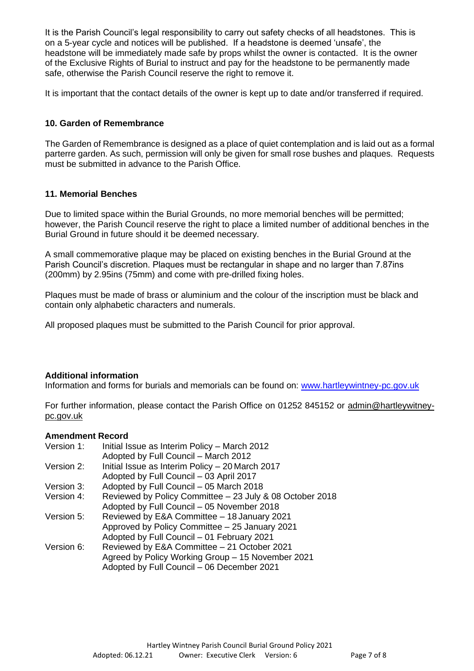It is the Parish Council's legal responsibility to carry out safety checks of all headstones. This is on a 5-year cycle and notices will be published. If a headstone is deemed 'unsafe', the headstone will be immediately made safe by props whilst the owner is contacted. It is the owner of the Exclusive Rights of Burial to instruct and pay for the headstone to be permanently made safe, otherwise the Parish Council reserve the right to remove it.

It is important that the contact details of the owner is kept up to date and/or transferred if required.

## **10. Garden of Remembrance**

The Garden of Remembrance is designed as a place of quiet contemplation and is laid out as a formal parterre garden. As such, permission will only be given for small rose bushes and plaques. Requests must be submitted in advance to the Parish Office.

### **11. Memorial Benches**

Due to limited space within the Burial Grounds, no more memorial benches will be permitted; however, the Parish Council reserve the right to place a limited number of additional benches in the Burial Ground in future should it be deemed necessary.

A small commemorative plaque may be placed on existing benches in the Burial Ground at the Parish Council's discretion. Plaques must be rectangular in shape and no larger than 7.87ins (200mm) by 2.95ins (75mm) and come with pre-drilled fixing holes.

Plaques must be made of brass or aluminium and the colour of the inscription must be black and contain only alphabetic characters and numerals.

All proposed plaques must be submitted to the Parish Council for prior approval.

### **Additional information**

Information and forms for burials and memorials can be found on: [www.hartleywintney-pc.gov.uk](http://www.hartleywintney-pc.gov.uk/)

For further information, please contact the Parish Office on 01252 845152 or [admin@hartleywitney](mailto:admin@hartleywitney-pc.gov.uk)[pc.gov.uk](mailto:admin@hartleywitney-pc.gov.uk)

#### **Amendment Record**

| Version 1: | Initial Issue as Interim Policy - March 2012             |
|------------|----------------------------------------------------------|
|            | Adopted by Full Council - March 2012                     |
| Version 2: | Initial Issue as Interim Policy - 20 March 2017          |
|            | Adopted by Full Council - 03 April 2017                  |
| Version 3: | Adopted by Full Council - 05 March 2018                  |
| Version 4: | Reviewed by Policy Committee - 23 July & 08 October 2018 |
|            | Adopted by Full Council - 05 November 2018               |
| Version 5: | Reviewed by E&A Committee - 18 January 2021              |
|            | Approved by Policy Committee - 25 January 2021           |
|            | Adopted by Full Council - 01 February 2021               |
| Version 6: | Reviewed by E&A Committee - 21 October 2021              |
|            | Agreed by Policy Working Group - 15 November 2021        |
|            | Adopted by Full Council - 06 December 2021               |